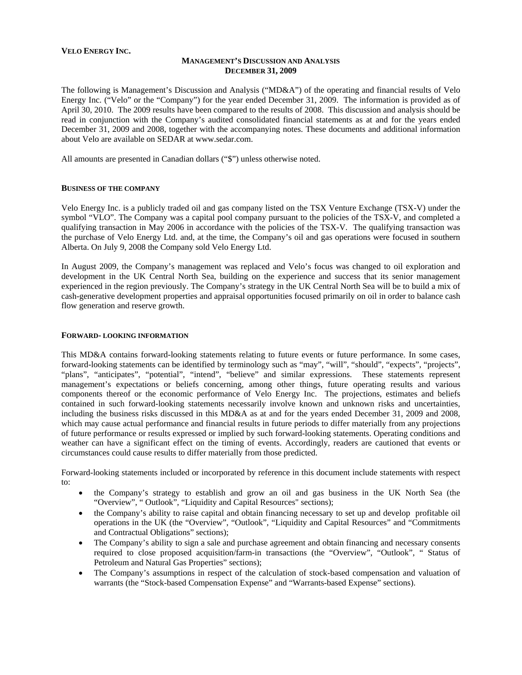### **VELO ENERGY INC.**

### **MANAGEMENT'S DISCUSSION AND ANALYSIS DECEMBER 31, 2009**

The following is Management's Discussion and Analysis ("MD&A") of the operating and financial results of Velo Energy Inc. ("Velo" or the "Company") for the year ended December 31, 2009. The information is provided as of April 30, 2010. The 2009 results have been compared to the results of 2008. This discussion and analysis should be read in conjunction with the Company's audited consolidated financial statements as at and for the years ended December 31, 2009 and 2008, together with the accompanying notes. These documents and additional information about Velo are available on SEDAR at [www.sedar.com](http://www.sedar.com/).

All amounts are presented in Canadian dollars ("\$") unless otherwise noted.

### **BUSINESS OF THE COMPANY**

Velo Energy Inc. is a publicly traded oil and gas company listed on the TSX Venture Exchange (TSX-V) under the symbol "VLO". The Company was a capital pool company pursuant to the policies of the TSX-V, and completed a qualifying transaction in May 2006 in accordance with the policies of the TSX-V. The qualifying transaction was the purchase of Velo Energy Ltd. and, at the time, the Company's oil and gas operations were focused in southern Alberta. On July 9, 2008 the Company sold Velo Energy Ltd.

In August 2009, the Company's management was replaced and Velo's focus was changed to oil exploration and development in the UK Central North Sea, building on the experience and success that its senior management experienced in the region previously. The Company's strategy in the UK Central North Sea will be to build a mix of cash-generative development properties and appraisal opportunities focused primarily on oil in order to balance cash flow generation and reserve growth.

### **FORWARD- LOOKING INFORMATION**

This MD&A contains forward-looking statements relating to future events or future performance. In some cases, forward-looking statements can be identified by terminology such as "may", "will", "should", "expects", "projects", "plans", "anticipates", "potential", "intend", "believe" and similar expressions. These statements represent management's expectations or beliefs concerning, among other things, future operating results and various components thereof or the economic performance of Velo Energy Inc. The projections, estimates and beliefs contained in such forward-looking statements necessarily involve known and unknown risks and uncertainties, including the business risks discussed in this MD&A as at and for the years ended December 31, 2009 and 2008, which may cause actual performance and financial results in future periods to differ materially from any projections of future performance or results expressed or implied by such forward-looking statements. Operating conditions and weather can have a significant effect on the timing of events. Accordingly, readers are cautioned that events or circumstances could cause results to differ materially from those predicted.

Forward-looking statements included or incorporated by reference in this document include statements with respect to:

- the Company's strategy to establish and grow an oil and gas business in the UK North Sea (the "Overview", " Outlook", "Liquidity and Capital Resources" sections);
- the Company's ability to raise capital and obtain financing necessary to set up and develop profitable oil operations in the UK (the "Overview", "Outlook", "Liquidity and Capital Resources" and "Commitments and Contractual Obligations" sections);
- The Company's ability to sign a sale and purchase agreement and obtain financing and necessary consents required to close proposed acquisition/farm-in transactions (the "Overview", "Outlook", " Status of Petroleum and Natural Gas Properties" sections);
- The Company's assumptions in respect of the calculation of stock-based compensation and valuation of warrants (the "Stock-based Compensation Expense" and "Warrants-based Expense" sections).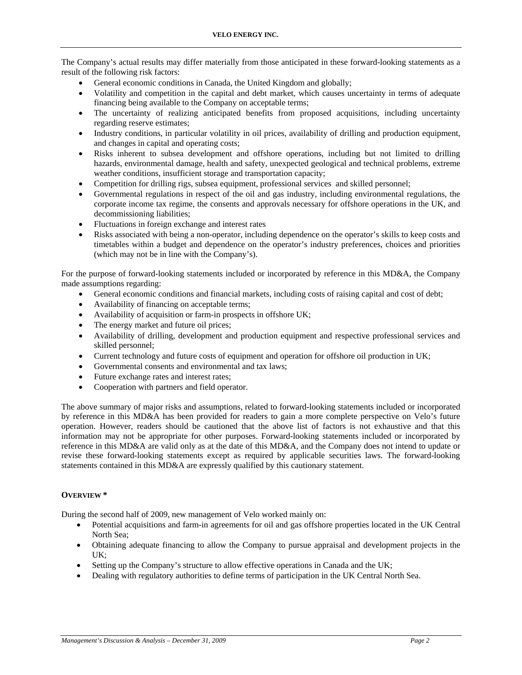The Company's actual results may differ materially from those anticipated in these forward-looking statements as a result of the following risk factors:

- General economic conditions in Canada, the United Kingdom and globally;
- Volatility and competition in the capital and debt market, which causes uncertainty in terms of adequate financing being available to the Company on acceptable terms;
- The uncertainty of realizing anticipated benefits from proposed acquisitions, including uncertainty regarding reserve estimates;
- Industry conditions, in particular volatility in oil prices, availability of drilling and production equipment, and changes in capital and operating costs;
- Risks inherent to subsea development and offshore operations, including but not limited to drilling hazards, environmental damage, health and safety, unexpected geological and technical problems, extreme weather conditions, insufficient storage and transportation capacity;
- Competition for drilling rigs, subsea equipment, professional services and skilled personnel;
- Governmental regulations in respect of the oil and gas industry, including environmental regulations, the corporate income tax regime, the consents and approvals necessary for offshore operations in the UK, and decommissioning liabilities;
- Fluctuations in foreign exchange and interest rates
- Risks associated with being a non-operator, including dependence on the operator's skills to keep costs and timetables within a budget and dependence on the operator's industry preferences, choices and priorities (which may not be in line with the Company's).

For the purpose of forward-looking statements included or incorporated by reference in this MD&A, the Company made assumptions regarding:

- General economic conditions and financial markets, including costs of raising capital and cost of debt;
- Availability of financing on acceptable terms;
- Availability of acquisition or farm-in prospects in offshore UK;
- The energy market and future oil prices;
- Availability of drilling, development and production equipment and respective professional services and skilled personnel;
- Current technology and future costs of equipment and operation for offshore oil production in UK;
- Governmental consents and environmental and tax laws;
- Future exchange rates and interest rates;
- Cooperation with partners and field operator.

The above summary of major risks and assumptions, related to forward-looking statements included or incorporated by reference in this MD&A has been provided for readers to gain a more complete perspective on Velo's future operation. However, readers should be cautioned that the above list of factors is not exhaustive and that this information may not be appropriate for other purposes. Forward-looking statements included or incorporated by reference in this MD&A are valid only as at the date of this MD&A, and the Company does not intend to update or revise these forward-looking statements except as required by applicable securities laws. The forward-looking statements contained in this MD&A are expressly qualified by this cautionary statement.

# **OVERVIEW \***

During the second half of 2009, new management of Velo worked mainly on:

- Potential acquisitions and farm-in agreements for oil and gas offshore properties located in the UK Central North Sea;
- Obtaining adequate financing to allow the Company to pursue appraisal and development projects in the UK;
- Setting up the Company's structure to allow effective operations in Canada and the UK;
- Dealing with regulatory authorities to define terms of participation in the UK Central North Sea.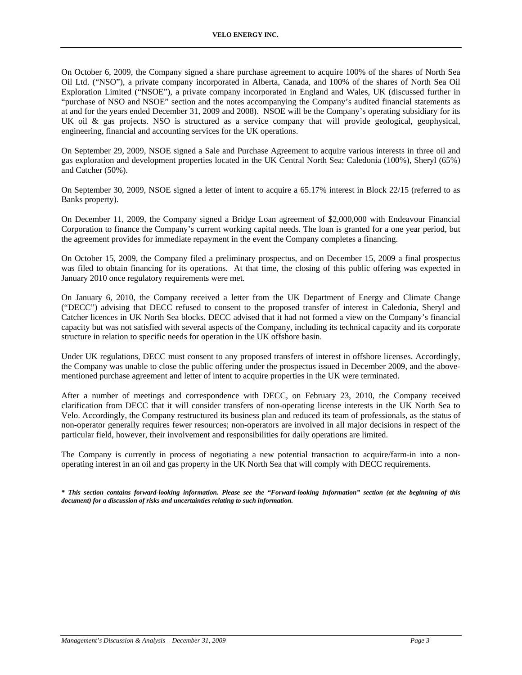On October 6, 2009, the Company signed a share purchase agreement to acquire 100% of the shares of North Sea Oil Ltd. ("NSO"), a private company incorporated in Alberta, Canada, and 100% of the shares of North Sea Oil Exploration Limited ("NSOE"), a private company incorporated in England and Wales, UK (discussed further in "purchase of NSO and NSOE" section and the notes accompanying the Company's audited financial statements as at and for the years ended December 31, 2009 and 2008). NSOE will be the Company's operating subsidiary for its UK oil & gas projects. NSO is structured as a service company that will provide geological, geophysical, engineering, financial and accounting services for the UK operations.

On September 29, 2009, NSOE signed a Sale and Purchase Agreement to acquire various interests in three oil and gas exploration and development properties located in the UK Central North Sea: Caledonia (100%), Sheryl (65%) and Catcher (50%).

On September 30, 2009, NSOE signed a letter of intent to acquire a 65.17% interest in Block 22/15 (referred to as Banks property).

On December 11, 2009, the Company signed a Bridge Loan agreement of \$2,000,000 with Endeavour Financial Corporation to finance the Company's current working capital needs. The loan is granted for a one year period, but the agreement provides for immediate repayment in the event the Company completes a financing.

On October 15, 2009, the Company filed a preliminary prospectus, and on December 15, 2009 a final prospectus was filed to obtain financing for its operations. At that time, the closing of this public offering was expected in January 2010 once regulatory requirements were met.

On January 6, 2010, the Company received a letter from the UK Department of Energy and Climate Change ("DECC") advising that DECC refused to consent to the proposed transfer of interest in Caledonia, Sheryl and Catcher licences in UK North Sea blocks. DECC advised that it had not formed a view on the Company's financial capacity but was not satisfied with several aspects of the Company, including its technical capacity and its corporate structure in relation to specific needs for operation in the UK offshore basin.

Under UK regulations, DECC must consent to any proposed transfers of interest in offshore licenses. Accordingly, the Company was unable to close the public offering under the prospectus issued in December 2009, and the abovementioned purchase agreement and letter of intent to acquire properties in the UK were terminated.

After a number of meetings and correspondence with DECC, on February 23, 2010, the Company received clarification from DECC that it will consider transfers of non-operating license interests in the UK North Sea to Velo. Accordingly, the Company restructured its business plan and reduced its team of professionals, as the status of non-operator generally requires fewer resources; non-operators are involved in all major decisions in respect of the particular field, however, their involvement and responsibilities for daily operations are limited.

The Company is currently in process of negotiating a new potential transaction to acquire/farm-in into a nonoperating interest in an oil and gas property in the UK North Sea that will comply with DECC requirements.

*\* This section contains forward-looking information. Please see the "Forward-looking Information" section (at the beginning of this document) for a discussion of risks and uncertainties relating to such information.*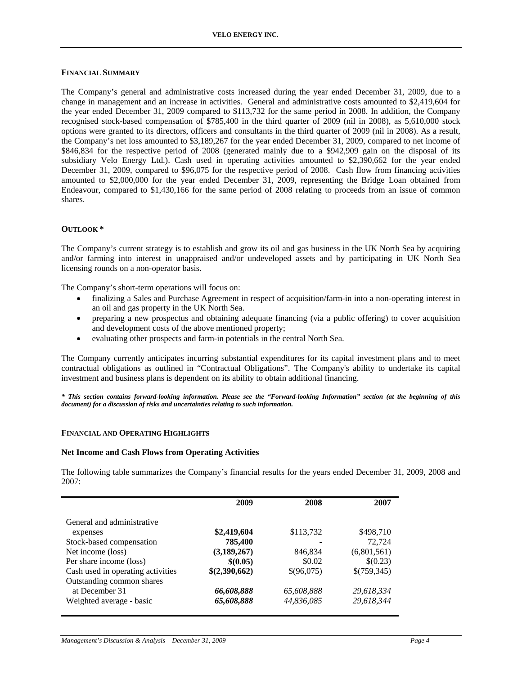### **FINANCIAL SUMMARY**

The Company's general and administrative costs increased during the year ended December 31, 2009, due to a change in management and an increase in activities. General and administrative costs amounted to \$2,419,604 for the year ended December 31, 2009 compared to \$113,732 for the same period in 2008. In addition, the Company recognised stock-based compensation of \$785,400 in the third quarter of 2009 (nil in 2008), as 5,610,000 stock options were granted to its directors, officers and consultants in the third quarter of 2009 (nil in 2008). As a result, the Company's net loss amounted to \$3,189,267 for the year ended December 31, 2009, compared to net income of \$846,834 for the respective period of 2008 (generated mainly due to a \$942,909 gain on the disposal of its subsidiary Velo Energy Ltd.). Cash used in operating activities amounted to \$2,390,662 for the year ended December 31, 2009, compared to \$96,075 for the respective period of 2008. Cash flow from financing activities amounted to \$2,000,000 for the year ended December 31, 2009, representing the Bridge Loan obtained from Endeavour, compared to \$1,430,166 for the same period of 2008 relating to proceeds from an issue of common shares.

### **OUTLOOK \***

The Company's current strategy is to establish and grow its oil and gas business in the UK North Sea by acquiring and/or farming into interest in unappraised and/or undeveloped assets and by participating in UK North Sea licensing rounds on a non-operator basis.

The Company's short-term operations will focus on:

- finalizing a Sales and Purchase Agreement in respect of acquisition/farm-in into a non-operating interest in an oil and gas property in the UK North Sea.
- preparing a new prospectus and obtaining adequate financing (via a public offering) to cover acquisition and development costs of the above mentioned property;
- evaluating other prospects and farm-in potentials in the central North Sea.

The Company currently anticipates incurring substantial expenditures for its capital investment plans and to meet contractual obligations as outlined in "Contractual Obligations". The Company's ability to undertake its capital investment and business plans is dependent on its ability to obtain additional financing.

*\* This section contains forward-looking information. Please see the "Forward-looking Information" section (at the beginning of this document) for a discussion of risks and uncertainties relating to such information.* 

### **FINANCIAL AND OPERATING HIGHLIGHTS**

### **Net Income and Cash Flows from Operating Activities**

The following table summarizes the Company's financial results for the years ended December 31, 2009, 2008 and 2007:

|                                   | 2009          | 2008       | 2007        |
|-----------------------------------|---------------|------------|-------------|
| General and administrative        |               |            |             |
| expenses                          | \$2,419,604   | \$113,732  | \$498,710   |
| Stock-based compensation          | 785,400       |            | 72,724      |
| Net income (loss)                 | (3,189,267)   | 846,834    | (6,801,561) |
| Per share income (loss)           | \$(0.05)      | \$0.02     | \$(0.23)    |
| Cash used in operating activities | \$(2,390,662) | \$(96,075) | \$(759,345) |
| Outstanding common shares         |               |            |             |
| at December 31                    | 66,608,888    | 65,608,888 | 29,618,334  |
| Weighted average - basic          | 65,608,888    | 44,836,085 | 29,618,344  |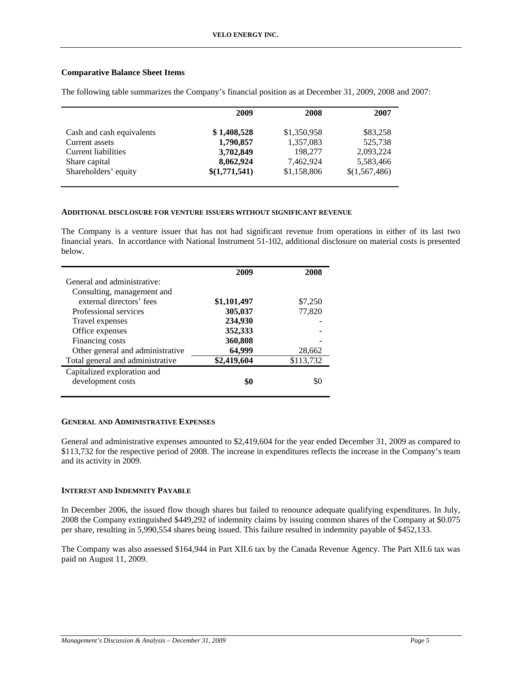# **Comparative Balance Sheet Items**

|                           | 2009          | 2008        | 2007          |
|---------------------------|---------------|-------------|---------------|
|                           |               |             |               |
| Cash and cash equivalents | \$1,408,528   | \$1,350,958 | \$83,258      |
| Current assets            | 1,790,857     | 1,357,083   | 525,738       |
| Current liabilities       | 3,702,849     | 198,277     | 2,093,224     |
| Share capital             | 8,062,924     | 7,462,924   | 5,583,466     |
| Shareholders' equity      | \$(1,771,541) | \$1,158,806 | \$(1,567,486) |
|                           |               |             |               |

The following table summarizes the Company's financial position as at December 31, 2009, 2008 and 2007:

# **ADDITIONAL DISCLOSURE FOR VENTURE ISSUERS WITHOUT SIGNIFICANT REVENUE**

The Company is a venture issuer that has not had significant revenue from operations in either of its last two financial years. In accordance with National Instrument 51-102, additional disclosure on material costs is presented below.

|                                  | 2009        | 2008      |
|----------------------------------|-------------|-----------|
| General and administrative:      |             |           |
| Consulting, management and       |             |           |
| external directors' fees         | \$1,101,497 | \$7,250   |
| Professional services            | 305,037     | 77,820    |
| Travel expenses                  | 234,930     |           |
| Office expenses                  | 352,333     |           |
| Financing costs                  | 360,808     |           |
| Other general and administrative | 64,999      | 28,662    |
| Total general and administrative | \$2,419,604 | \$113,732 |
| Capitalized exploration and      |             |           |
| development costs                | \$0         |           |
|                                  |             |           |

### **GENERAL AND ADMINISTRATIVE EXPENSES**

General and administrative expenses amounted to \$2,419,604 for the year ended December 31, 2009 as compared to \$113,732 for the respective period of 2008. The increase in expenditures reflects the increase in the Company's team and its activity in 2009.

# **INTEREST AND INDEMNITY PAYABLE**

In December 2006, the issued flow though shares but failed to renounce adequate qualifying expenditures. In July, 2008 the Company extinguished \$449,292 of indemnity claims by issuing common shares of the Company at \$0.075 per share, resulting in 5,990,554 shares being issued. This failure resulted in indemnity payable of \$452,133.

The Company was also assessed \$164,944 in Part XII.6 tax by the Canada Revenue Agency. The Part XII.6 tax was paid on August 11, 2009.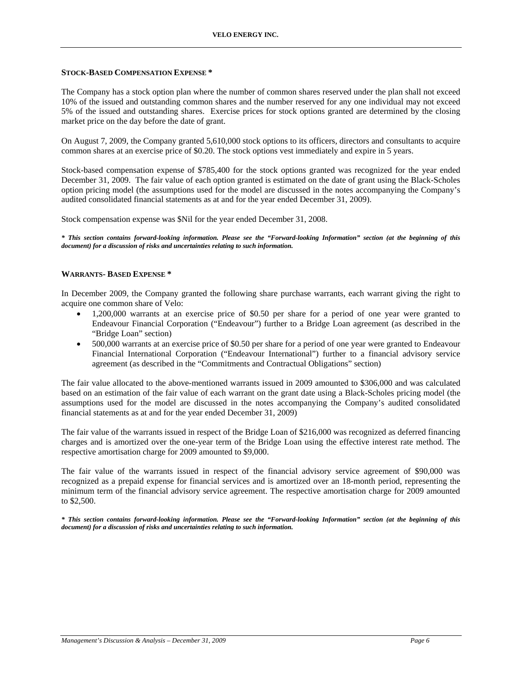### **STOCK-BASED COMPENSATION EXPENSE \***

The Company has a stock option plan where the number of common shares reserved under the plan shall not exceed 10% of the issued and outstanding common shares and the number reserved for any one individual may not exceed 5% of the issued and outstanding shares. Exercise prices for stock options granted are determined by the closing market price on the day before the date of grant.

On August 7, 2009, the Company granted 5,610,000 stock options to its officers, directors and consultants to acquire common shares at an exercise price of \$0.20. The stock options vest immediately and expire in 5 years.

Stock-based compensation expense of \$785,400 for the stock options granted was recognized for the year ended December 31, 2009. The fair value of each option granted is estimated on the date of grant using the Black-Scholes option pricing model (the assumptions used for the model are discussed in the notes accompanying the Company's audited consolidated financial statements as at and for the year ended December 31, 2009).

Stock compensation expense was \$Nil for the year ended December 31, 2008.

*\* This section contains forward-looking information. Please see the "Forward-looking Information" section (at the beginning of this document) for a discussion of risks and uncertainties relating to such information.* 

# **WARRANTS- BASED EXPENSE \***

In December 2009, the Company granted the following share purchase warrants, each warrant giving the right to acquire one common share of Velo:

- 1,200,000 warrants at an exercise price of \$0.50 per share for a period of one year were granted to Endeavour Financial Corporation ("Endeavour") further to a Bridge Loan agreement (as described in the "Bridge Loan" section)
- 500,000 warrants at an exercise price of \$0.50 per share for a period of one year were granted to Endeavour Financial International Corporation ("Endeavour International") further to a financial advisory service agreement (as described in the "Commitments and Contractual Obligations" section)

The fair value allocated to the above-mentioned warrants issued in 2009 amounted to \$306,000 and was calculated based on an estimation of the fair value of each warrant on the grant date using a Black-Scholes pricing model (the assumptions used for the model are discussed in the notes accompanying the Company's audited consolidated financial statements as at and for the year ended December 31, 2009)

The fair value of the warrants issued in respect of the Bridge Loan of \$216,000 was recognized as deferred financing charges and is amortized over the one-year term of the Bridge Loan using the effective interest rate method. The respective amortisation charge for 2009 amounted to \$9,000.

The fair value of the warrants issued in respect of the financial advisory service agreement of \$90,000 was recognized as a prepaid expense for financial services and is amortized over an 18-month period, representing the minimum term of the financial advisory service agreement. The respective amortisation charge for 2009 amounted to \$2,500.

*\* This section contains forward-looking information. Please see the "Forward-looking Information" section (at the beginning of this document) for a discussion of risks and uncertainties relating to such information.*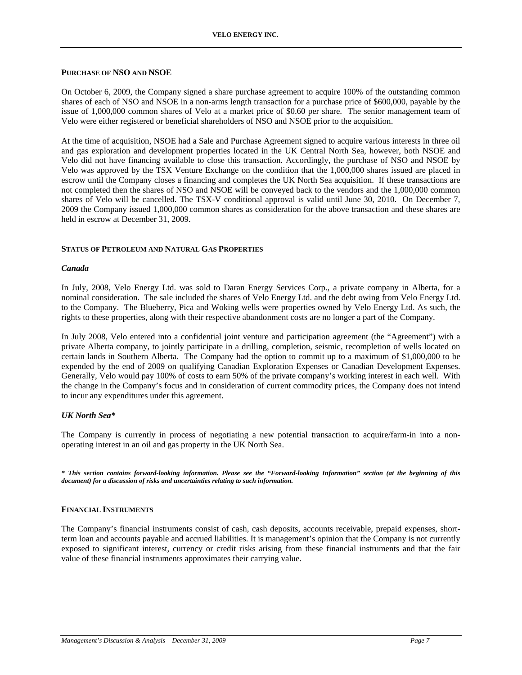### **PURCHASE OF NSO AND NSOE**

On October 6, 2009, the Company signed a share purchase agreement to acquire 100% of the outstanding common shares of each of NSO and NSOE in a non-arms length transaction for a purchase price of \$600,000, payable by the issue of 1,000,000 common shares of Velo at a market price of \$0.60 per share. The senior management team of Velo were either registered or beneficial shareholders of NSO and NSOE prior to the acquisition.

At the time of acquisition, NSOE had a Sale and Purchase Agreement signed to acquire various interests in three oil and gas exploration and development properties located in the UK Central North Sea, however, both NSOE and Velo did not have financing available to close this transaction. Accordingly, the purchase of NSO and NSOE by Velo was approved by the TSX Venture Exchange on the condition that the 1,000,000 shares issued are placed in escrow until the Company closes a financing and completes the UK North Sea acquisition. If these transactions are not completed then the shares of NSO and NSOE will be conveyed back to the vendors and the 1,000,000 common shares of Velo will be cancelled. The TSX-V conditional approval is valid until June 30, 2010. On December 7, 2009 the Company issued 1,000,000 common shares as consideration for the above transaction and these shares are held in escrow at December 31, 2009.

### **STATUS OF PETROLEUM AND NATURAL GAS PROPERTIES**

### *Canada*

In July, 2008, Velo Energy Ltd. was sold to Daran Energy Services Corp., a private company in Alberta, for a nominal consideration. The sale included the shares of Velo Energy Ltd. and the debt owing from Velo Energy Ltd. to the Company. The Blueberry, Pica and Woking wells were properties owned by Velo Energy Ltd. As such, the rights to these properties, along with their respective abandonment costs are no longer a part of the Company.

In July 2008, Velo entered into a confidential joint venture and participation agreement (the "Agreement") with a private Alberta company, to jointly participate in a drilling, completion, seismic, recompletion of wells located on certain lands in Southern Alberta. The Company had the option to commit up to a maximum of \$1,000,000 to be expended by the end of 2009 on qualifying Canadian Exploration Expenses or Canadian Development Expenses. Generally, Velo would pay 100% of costs to earn 50% of the private company's working interest in each well. With the change in the Company's focus and in consideration of current commodity prices, the Company does not intend to incur any expenditures under this agreement.

# *UK North Sea\**

The Company is currently in process of negotiating a new potential transaction to acquire/farm-in into a nonoperating interest in an oil and gas property in the UK North Sea.

*\* This section contains forward-looking information. Please see the "Forward-looking Information" section (at the beginning of this document) for a discussion of risks and uncertainties relating to such information.* 

### **FINANCIAL INSTRUMENTS**

The Company's financial instruments consist of cash, cash deposits, accounts receivable, prepaid expenses, shortterm loan and accounts payable and accrued liabilities. It is management's opinion that the Company is not currently exposed to significant interest, currency or credit risks arising from these financial instruments and that the fair value of these financial instruments approximates their carrying value.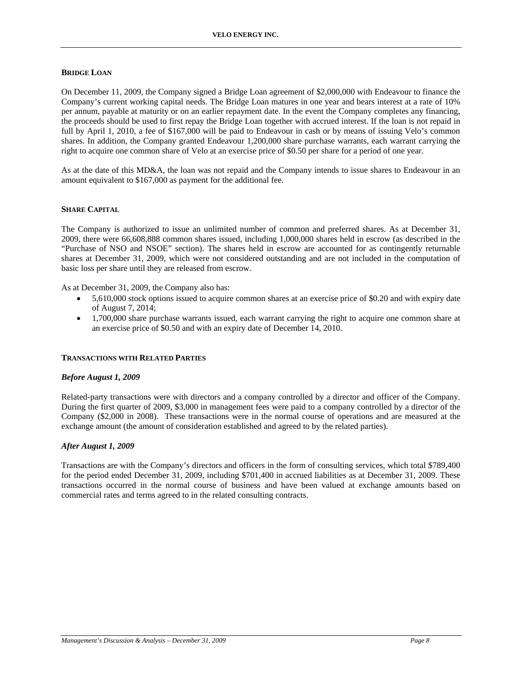# **BRIDGE LOAN**

On December 11, 2009, the Company signed a Bridge Loan agreement of \$2,000,000 with Endeavour to finance the Company's current working capital needs. The Bridge Loan matures in one year and bears interest at a rate of 10% per annum, payable at maturity or on an earlier repayment date. In the event the Company completes any financing, the proceeds should be used to first repay the Bridge Loan together with accrued interest. If the loan is not repaid in full by April 1, 2010, a fee of \$167,000 will be paid to Endeavour in cash or by means of issuing Velo's common shares. In addition, the Company granted Endeavour 1,200,000 share purchase warrants, each warrant carrying the right to acquire one common share of Velo at an exercise price of \$0.50 per share for a period of one year.

As at the date of this MD&A, the loan was not repaid and the Company intends to issue shares to Endeavour in an amount equivalent to \$167,000 as payment for the additional fee.

### **SHARE CAPITAL**

The Company is authorized to issue an unlimited number of common and preferred shares. As at December 31, 2009, there were 66,608,888 common shares issued, including 1,000,000 shares held in escrow (as described in the "Purchase of NSO and NSOE" section). The shares held in escrow are accounted for as contingently returnable shares at December 31, 2009, which were not considered outstanding and are not included in the computation of basic loss per share until they are released from escrow.

As at December 31, 2009, the Company also has:

- 5,610,000 stock options issued to acquire common shares at an exercise price of \$0.20 and with expiry date of August 7, 2014;
- 1,700,000 share purchase warrants issued, each warrant carrying the right to acquire one common share at an exercise price of \$0.50 and with an expiry date of December 14, 2010.

### **TRANSACTIONS WITH RELATED PARTIES**

### *Before August 1, 2009*

Related-party transactions were with directors and a company controlled by a director and officer of the Company. During the first quarter of 2009, \$3,000 in management fees were paid to a company controlled by a director of the Company (\$2,000 in 2008). These transactions were in the normal course of operations and are measured at the exchange amount (the amount of consideration established and agreed to by the related parties).

### *After August 1, 2009*

Transactions are with the Company's directors and officers in the form of consulting services, which total \$789,400 for the period ended December 31, 2009, including \$701,400 in accrued liabilities as at December 31, 2009. These transactions occurred in the normal course of business and have been valued at exchange amounts based on commercial rates and terms agreed to in the related consulting contracts.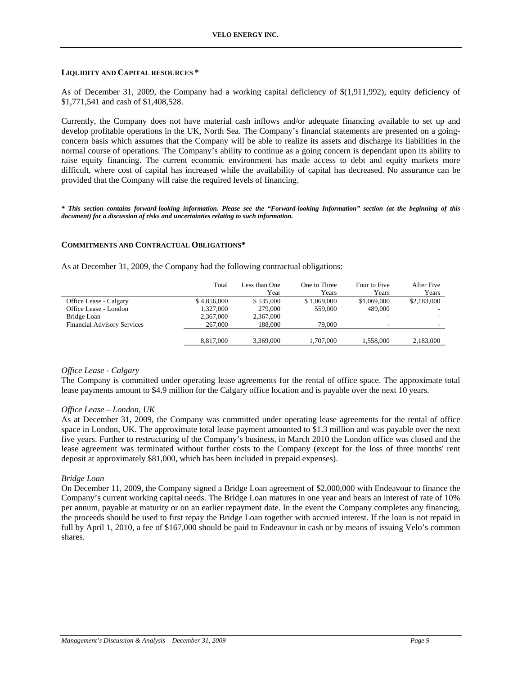### **LIQUIDITY AND CAPITAL RESOURCES \***

As of December 31, 2009, the Company had a working capital deficiency of \$(1,911,992), equity deficiency of \$1,771,541 and cash of \$1,408,528.

Currently, the Company does not have material cash inflows and/or adequate financing available to set up and develop profitable operations in the UK, North Sea. The Company's financial statements are presented on a goingconcern basis which assumes that the Company will be able to realize its assets and discharge its liabilities in the normal course of operations. The Company's ability to continue as a going concern is dependant upon its ability to raise equity financing. The current economic environment has made access to debt and equity markets more difficult, where cost of capital has increased while the availability of capital has decreased. No assurance can be provided that the Company will raise the required levels of financing.

*\* This section contains forward-looking information. Please see the "Forward-looking Information" section (at the beginning of this document) for a discussion of risks and uncertainties relating to such information.* 

### **COMMITMENTS AND CONTRACTUAL OBLIGATIONS\***

As at December 31, 2009, the Company had the following contractual obligations:

|                                    | Total       | Less than One | One to Three | Four to Five | After Five  |
|------------------------------------|-------------|---------------|--------------|--------------|-------------|
|                                    |             | Year          | Years        | Years        | Years       |
| Office Lease - Calgary             | \$4.856,000 | \$535,000     | \$1,069,000  | \$1,069,000  | \$2,183,000 |
| Office Lease - London              | 1.327.000   | 279,000       | 559,000      | 489,000      |             |
| Bridge Loan                        | 2,367,000   | 2,367,000     |              |              |             |
| <b>Financial Advisory Services</b> | 267,000     | 188,000       | 79.000       | ۰            |             |
|                                    |             |               |              |              |             |
|                                    | 8.817.000   | 3.369,000     | 1.707.000    | 1.558.000    | 2,183,000   |
|                                    |             |               |              |              |             |

### *Office Lease - Calgary*

The Company is committed under operating lease agreements for the rental of office space. The approximate total lease payments amount to \$4.9 million for the Calgary office location and is payable over the next 10 years.

### *Office Lease – London, UK*

As at December 31, 2009, the Company was committed under operating lease agreements for the rental of office space in London, UK. The approximate total lease payment amounted to \$1.3 million and was payable over the next five years. Further to restructuring of the Company's business, in March 2010 the London office was closed and the lease agreement was terminated without further costs to the Company (except for the loss of three months' rent deposit at approximately \$81,000, which has been included in prepaid expenses).

### *Bridge Loan*

On December 11, 2009, the Company signed a Bridge Loan agreement of \$2,000,000 with Endeavour to finance the Company's current working capital needs. The Bridge Loan matures in one year and bears an interest of rate of 10% per annum, payable at maturity or on an earlier repayment date. In the event the Company completes any financing, the proceeds should be used to first repay the Bridge Loan together with accrued interest. If the loan is not repaid in full by April 1, 2010, a fee of \$167,000 should be paid to Endeavour in cash or by means of issuing Velo's common shares.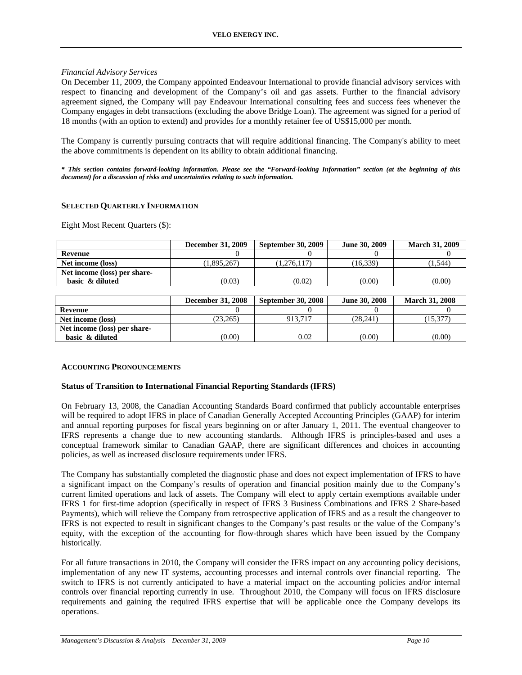# *Financial Advisory Services*

On December 11, 2009, the Company appointed Endeavour International to provide financial advisory services with respect to financing and development of the Company's oil and gas assets. Further to the financial advisory agreement signed, the Company will pay Endeavour International consulting fees and success fees whenever the Company engages in debt transactions (excluding the above Bridge Loan). The agreement was signed for a period of 18 months (with an option to extend) and provides for a monthly retainer fee of US\$15,000 per month.

The Company is currently pursuing contracts that will require additional financing. The Company's ability to meet the above commitments is dependent on its ability to obtain additional financing.

*\* This section contains forward-looking information. Please see the "Forward-looking Information" section (at the beginning of this document) for a discussion of risks and uncertainties relating to such information.* 

### **SELECTED QUARTERLY INFORMATION**

Eight Most Recent Quarters (\$):

|                              | <b>December 31, 2009</b> | <b>September 30, 2009</b> | <b>June 30, 2009</b> | <b>March 31, 2009</b> |
|------------------------------|--------------------------|---------------------------|----------------------|-----------------------|
| Revenue                      |                          |                           |                      |                       |
| Net income (loss)            | 1,895,267                | 1.276.117)                | (16.339)             | 1,544                 |
| Net income (loss) per share- |                          |                           |                      |                       |
| basic & diluted              | (0.03)                   | (0.02)                    | (0.00)               | (0.00)                |

|                              | <b>December 31, 2008</b> | <b>September 30, 2008</b> | <b>June 30, 2008</b> | <b>March 31, 2008</b> |
|------------------------------|--------------------------|---------------------------|----------------------|-----------------------|
| Revenue                      |                          |                           |                      |                       |
| Net income (loss)            | (23.265)                 | 913.717                   | (28.241)             | 15.377                |
| Net income (loss) per share- |                          |                           |                      |                       |
| basic & diluted              | (0.00)                   | 0.02                      | (0.00)               | (0.00)                |

### **ACCOUNTING PRONOUNCEMENTS**

### **Status of Transition to International Financial Reporting Standards (IFRS)**

On February 13, 2008, the Canadian Accounting Standards Board confirmed that publicly accountable enterprises will be required to adopt IFRS in place of Canadian Generally Accepted Accounting Principles (GAAP) for interim and annual reporting purposes for fiscal years beginning on or after January 1, 2011. The eventual changeover to IFRS represents a change due to new accounting standards. Although IFRS is principles-based and uses a conceptual framework similar to Canadian GAAP, there are significant differences and choices in accounting policies, as well as increased disclosure requirements under IFRS.

The Company has substantially completed the diagnostic phase and does not expect implementation of IFRS to have a significant impact on the Company's results of operation and financial position mainly due to the Company's current limited operations and lack of assets. The Company will elect to apply certain exemptions available under IFRS 1 for first-time adoption (specifically in respect of IFRS 3 Business Combinations and IFRS 2 Share-based Payments), which will relieve the Company from retrospective application of IFRS and as a result the changeover to IFRS is not expected to result in significant changes to the Company's past results or the value of the Company's equity, with the exception of the accounting for flow-through shares which have been issued by the Company historically.

For all future transactions in 2010, the Company will consider the IFRS impact on any accounting policy decisions, implementation of any new IT systems, accounting processes and internal controls over financial reporting. The switch to IFRS is not currently anticipated to have a material impact on the accounting policies and/or internal controls over financial reporting currently in use. Throughout 2010, the Company will focus on IFRS disclosure requirements and gaining the required IFRS expertise that will be applicable once the Company develops its operations.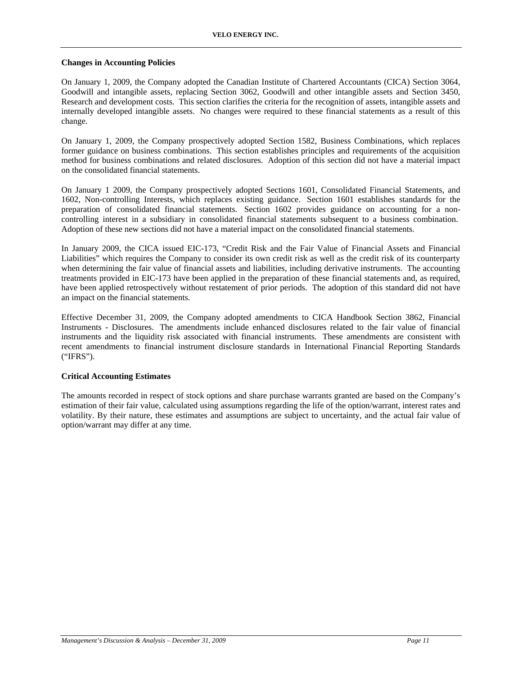### **Changes in Accounting Policies**

On January 1, 2009, the Company adopted the Canadian Institute of Chartered Accountants (CICA) Section 3064, Goodwill and intangible assets, replacing Section 3062, Goodwill and other intangible assets and Section 3450, Research and development costs. This section clarifies the criteria for the recognition of assets, intangible assets and internally developed intangible assets. No changes were required to these financial statements as a result of this change.

On January 1, 2009, the Company prospectively adopted Section 1582, Business Combinations, which replaces former guidance on business combinations. This section establishes principles and requirements of the acquisition method for business combinations and related disclosures. Adoption of this section did not have a material impact on the consolidated financial statements.

On January 1 2009, the Company prospectively adopted Sections 1601, Consolidated Financial Statements, and 1602, Non-controlling Interests, which replaces existing guidance. Section 1601 establishes standards for the preparation of consolidated financial statements. Section 1602 provides guidance on accounting for a noncontrolling interest in a subsidiary in consolidated financial statements subsequent to a business combination. Adoption of these new sections did not have a material impact on the consolidated financial statements.

In January 2009, the CICA issued EIC-173, "Credit Risk and the Fair Value of Financial Assets and Financial Liabilities" which requires the Company to consider its own credit risk as well as the credit risk of its counterparty when determining the fair value of financial assets and liabilities, including derivative instruments. The accounting treatments provided in EIC-173 have been applied in the preparation of these financial statements and, as required, have been applied retrospectively without restatement of prior periods. The adoption of this standard did not have an impact on the financial statements.

Effective December 31, 2009, the Company adopted amendments to CICA Handbook Section 3862, Financial Instruments - Disclosures. The amendments include enhanced disclosures related to the fair value of financial instruments and the liquidity risk associated with financial instruments. These amendments are consistent with recent amendments to financial instrument disclosure standards in International Financial Reporting Standards ("IFRS").

# **Critical Accounting Estimates**

The amounts recorded in respect of stock options and share purchase warrants granted are based on the Company's estimation of their fair value, calculated using assumptions regarding the life of the option/warrant, interest rates and volatility. By their nature, these estimates and assumptions are subject to uncertainty, and the actual fair value of option/warrant may differ at any time.